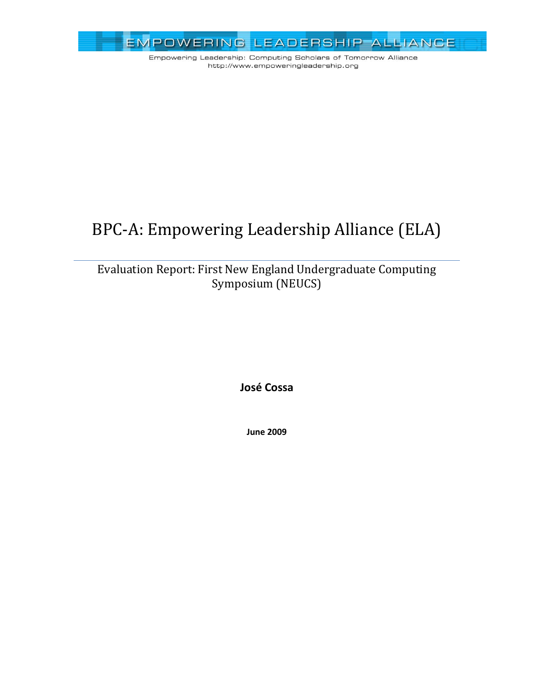

# BPC-A: Empowering Leadership Alliance (ELA)

### Evaluation Report: First New England Undergraduate Computing Symposium (NEUCS)

**José Cossa**

**June 2009**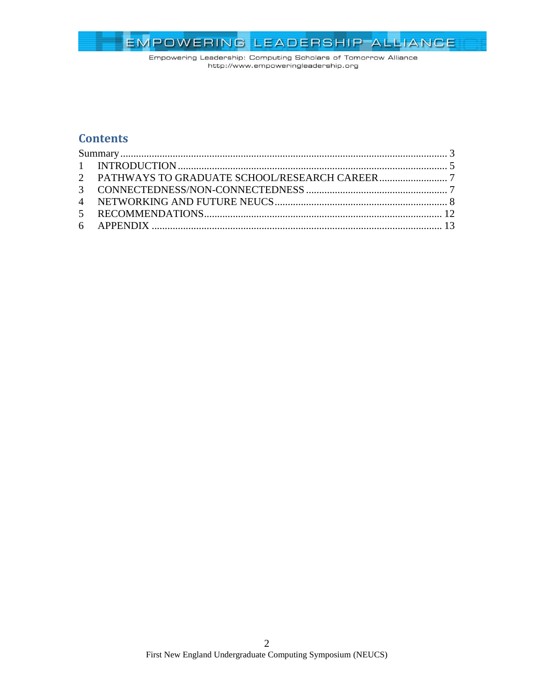

### **Contents**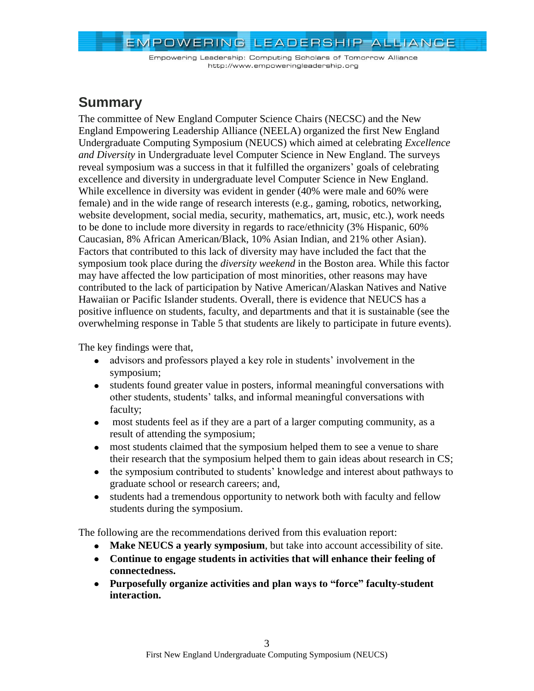Empowering Leadership: Computing Scholars of Tomorrow Alliance http://www.empoweringleadership.org

### <span id="page-2-0"></span>**Summary**

The committee of New England Computer Science Chairs (NECSC) and the New England Empowering Leadership Alliance (NEELA) organized the first New England Undergraduate Computing Symposium (NEUCS) which aimed at celebrating *Excellence and Diversity* in Undergraduate level Computer Science in New England. The surveys reveal symposium was a success in that it fulfilled the organizers' goals of celebrating excellence and diversity in undergraduate level Computer Science in New England. While excellence in diversity was evident in gender (40% were male and 60% were female) and in the wide range of research interests (e.g., gaming, robotics, networking, website development, social media, security, mathematics, art, music, etc.), work needs to be done to include more diversity in regards to race/ethnicity (3% Hispanic, 60% Caucasian, 8% African American/Black, 10% Asian Indian, and 21% other Asian). Factors that contributed to this lack of diversity may have included the fact that the symposium took place during the *diversity weekend* in the Boston area. While this factor may have affected the low participation of most minorities, other reasons may have contributed to the lack of participation by Native American/Alaskan Natives and Native Hawaiian or Pacific Islander students. Overall, there is evidence that NEUCS has a positive influence on students, faculty, and departments and that it is sustainable (see the overwhelming response in [Table 5](#page-12-1) that students are likely to participate in future events).

The key findings were that,

- advisors and professors played a key role in students' involvement in the symposium;
- students found greater value in posters, informal meaningful conversations with other students, students' talks, and informal meaningful conversations with faculty;
- most students feel as if they are a part of a larger computing community, as a result of attending the symposium;
- most students claimed that the symposium helped them to see a venue to share their research that the symposium helped them to gain ideas about research in CS;
- the symposium contributed to students' knowledge and interest about pathways to graduate school or research careers; and,
- students had a tremendous opportunity to network both with faculty and fellow students during the symposium.

The following are the recommendations derived from this evaluation report:

- **Make NEUCS a yearly symposium**, but take into account accessibility of site.
- **Continue to engage students in activities that will enhance their feeling of connectedness.**
- **Purposefully organize activities and plan ways to "force" faculty-student interaction.**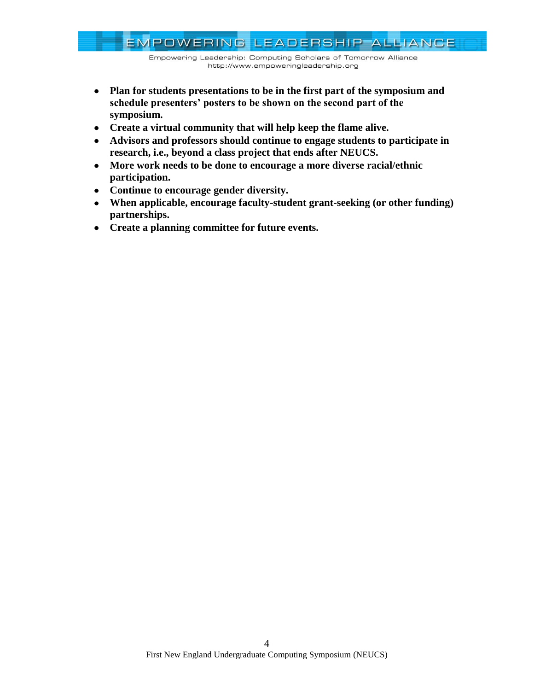Empowering Leadership: Computing Scholars of Tomorrow Alliance http://www.empoweringleadership.org

- **Plan for students presentations to be in the first part of the symposium and schedule presenters' posters to be shown on the second part of the symposium.**
- **Create a virtual community that will help keep the flame alive.**
- **Advisors and professors should continue to engage students to participate in research, i.e., beyond a class project that ends after NEUCS.**
- **More work needs to be done to encourage a more diverse racial/ethnic participation.**
- **Continue to encourage gender diversity.**
- **When applicable, encourage faculty-student grant-seeking (or other funding) partnerships.**
- **Create a planning committee for future events.**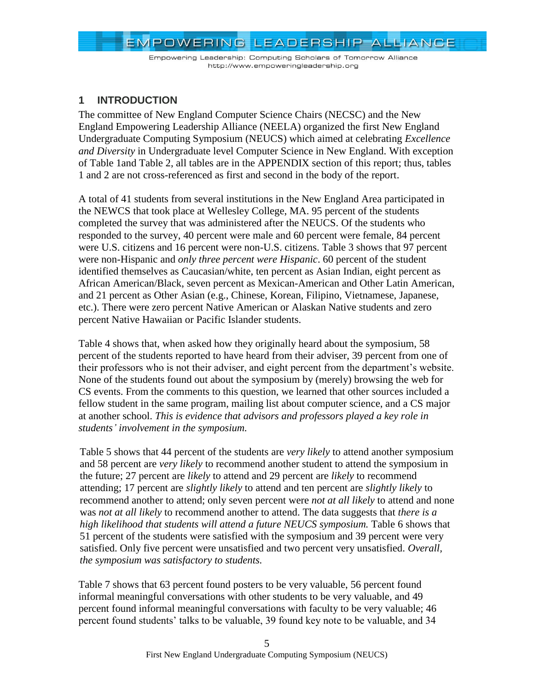Empowering Leadership: Computing Scholars of Tomorrow Alliance http://www.empoweringleadership.org

### <span id="page-4-0"></span>**1 INTRODUCTION**

The committee of New England Computer Science Chairs (NECSC) and the New England Empowering Leadership Alliance (NEELA) organized the first New England Undergraduate Computing Symposium (NEUCS) which aimed at celebrating *Excellence and Diversity* in Undergraduate level Computer Science in New England. With exception of [Table 1a](#page-5-0)nd [Table 2,](#page-7-1) all tables are in the APPENDIX section of this report; thus, tables 1 and 2 are not cross-referenced as first and second in the body of the report.

A total of 41 students from several institutions in the New England Area participated in the NEWCS that took place at Wellesley College, MA. 95 percent of the students completed the survey that was administered after the NEUCS. Of the students who responded to the survey, 40 percent were male and 60 percent were female, 84 percent were U.S. citizens and 16 percent were non-U.S. citizens. [Table 3](#page-12-2) shows that 97 percent were non-Hispanic and *only three percent were Hispanic*. 60 percent of the student identified themselves as Caucasian/white, ten percent as Asian Indian, eight percent as African American/Black, seven percent as Mexican-American and Other Latin American, and 21 percent as Other Asian (e.g., Chinese, Korean, Filipino, Vietnamese, Japanese, etc.). There were zero percent Native American or Alaskan Native students and zero percent Native Hawaiian or Pacific Islander students.

[Table 4](#page-12-3) shows that, when asked how they originally heard about the symposium, 58 percent of the students reported to have heard from their adviser, 39 percent from one of their professors who is not their adviser, and eight percent from the department's website. None of the students found out about the symposium by (merely) browsing the web for CS events. From the comments to this question, we learned that other sources included a fellow student in the same program, mailing list about computer science, and a CS major at another school. *This is evidence that advisors and professors played a key role in students' involvement in the symposium.*

[Table 5](#page-12-1) shows that 44 percent of the students are *very likely* to attend another symposium and 58 percent are *very likely* to recommend another student to attend the symposium in the future; 27 percent are *likely* to attend and 29 percent are *likely* to recommend attending; 17 percent are *slightly likely* to attend and ten percent are *slightly likely* to recommend another to attend; only seven percent were *not at all likely* to attend and none was *not at all likely* to recommend another to attend. The data suggests that *there is a high likelihood that students will attend a future NEUCS symposium.* [Table 6](#page-13-0) shows that 51 percent of the students were satisfied with the symposium and 39 percent were very satisfied. Only five percent were unsatisfied and two percent very unsatisfied. *Overall, the symposium was satisfactory to students.*

[Table 7](#page-13-1) shows that 63 percent found posters to be very valuable, 56 percent found informal meaningful conversations with other students to be very valuable, and 49 percent found informal meaningful conversations with faculty to be very valuable; 46 percent found students' talks to be valuable, 39 found key note to be valuable, and 34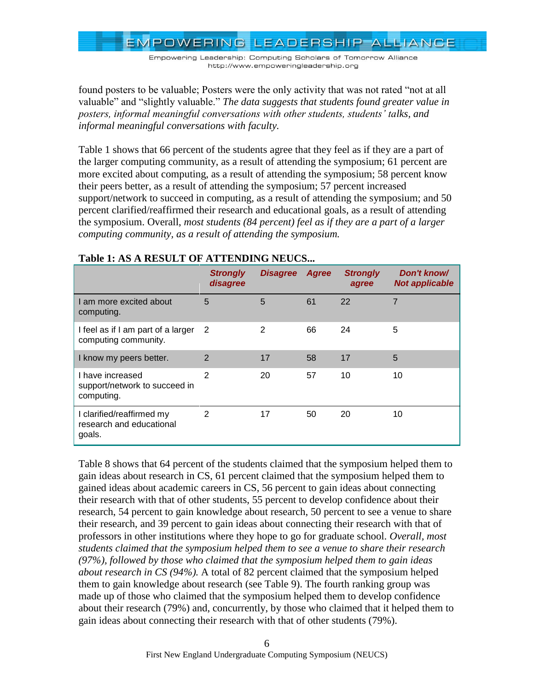Empowering Leadership: Computing Scholars of Tomorrow Alliance http://www.empoweringleadership.org

found posters to be valuable; Posters were the only activity that was not rated "not at all valuable" and "slightly valuable." *The data suggests that students found greater value in posters, informal meaningful conversations with other students, students' talks, and informal meaningful conversations with faculty.*

[Table 1](#page-5-0) shows that 66 percent of the students agree that they feel as if they are a part of the larger computing community, as a result of attending the symposium; 61 percent are more excited about computing, as a result of attending the symposium; 58 percent know their peers better, as a result of attending the symposium; 57 percent increased support/network to succeed in computing, as a result of attending the symposium; and 50 percent clarified/reaffirmed their research and educational goals, as a result of attending the symposium. Overall, *most students (84 percent) feel as if they are a part of a larger computing community, as a result of attending the symposium.*

|                                                                 | <b>Strongly</b><br>disagree | <b>Disagree Agree</b> |    | <b>Strongly</b><br>agree | Don't know/<br><b>Not applicable</b> |
|-----------------------------------------------------------------|-----------------------------|-----------------------|----|--------------------------|--------------------------------------|
| I am more excited about<br>computing.                           | 5                           | 5                     | 61 | 22                       | 7                                    |
| I feel as if I am part of a larger<br>computing community.      | -2                          | $\overline{2}$        | 66 | 24                       | 5                                    |
| I know my peers better.                                         | $\overline{2}$              | 17                    | 58 | 17                       | 5                                    |
| I have increased<br>support/network to succeed in<br>computing. | $\overline{2}$              | 20                    | 57 | 10                       | 10                                   |
| I clarified/reaffirmed my<br>research and educational<br>goals. | 2                           | 17                    | 50 | 20                       | 10                                   |

#### <span id="page-5-0"></span>**Table 1: AS A RESULT OF ATTENDING NEUCS...**

[Table 8](#page-14-0) shows that 64 percent of the students claimed that the symposium helped them to gain ideas about research in CS, 61 percent claimed that the symposium helped them to gained ideas about academic careers in CS, 56 percent to gain ideas about connecting their research with that of other students, 55 percent to develop confidence about their research, 54 percent to gain knowledge about research, 50 percent to see a venue to share their research, and 39 percent to gain ideas about connecting their research with that of professors in other institutions where they hope to go for graduate school. *Overall, most students claimed that the symposium helped them to see a venue to share their research (97%), followed by those who claimed that the symposium helped them to gain ideas about research in CS (94%).* A total of 82 percent claimed that the symposium helped them to gain knowledge about research (see [Table 9\)](#page-14-1). The fourth ranking group was made up of those who claimed that the symposium helped them to develop confidence about their research (79%) and, concurrently, by those who claimed that it helped them to gain ideas about connecting their research with that of other students (79%).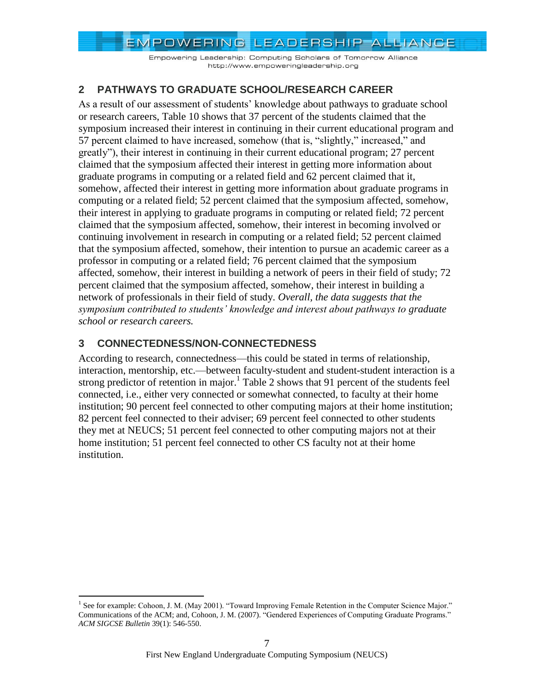Empowering Leadership: Computing Scholars of Tomorrow Alliance http://www.empoweringleadership.org

### <span id="page-6-0"></span>**2 PATHWAYS TO GRADUATE SCHOOL/RESEARCH CAREER**

As a result of our assessment of students' knowledge about pathways to graduate school or research careers, [Table 10](#page-15-0) shows that 37 percent of the students claimed that the symposium increased their interest in continuing in their current educational program and 57 percent claimed to have increased, somehow (that is, "slightly," increased," and greatly"), their interest in continuing in their current educational program; 27 percent claimed that the symposium affected their interest in getting more information about graduate programs in computing or a related field and 62 percent claimed that it, somehow, affected their interest in getting more information about graduate programs in computing or a related field; 52 percent claimed that the symposium affected, somehow, their interest in applying to graduate programs in computing or related field; 72 percent claimed that the symposium affected, somehow, their interest in becoming involved or continuing involvement in research in computing or a related field; 52 percent claimed that the symposium affected, somehow, their intention to pursue an academic career as a professor in computing or a related field; 76 percent claimed that the symposium affected, somehow, their interest in building a network of peers in their field of study; 72 percent claimed that the symposium affected, somehow, their interest in building a network of professionals in their field of study. *Overall, the data suggests that the symposium contributed to students' knowledge and interest about pathways to graduate school or research careers.*

### <span id="page-6-1"></span>**3 CONNECTEDNESS/NON-CONNECTEDNESS**

 $\overline{a}$ 

According to research, connectedness—this could be stated in terms of relationship, interaction, mentorship, etc.—between faculty-student and student-student interaction is a strong predictor of retention in major.<sup>1</sup> [Table 2](#page-7-1) shows that 91 percent of the students feel connected, i.e., either very connected or somewhat connected, to faculty at their home institution; 90 percent feel connected to other computing majors at their home institution; 82 percent feel connected to their adviser; 69 percent feel connected to other students they met at NEUCS; 51 percent feel connected to other computing majors not at their home institution; 51 percent feel connected to other CS faculty not at their home institution.

<sup>&</sup>lt;sup>1</sup> See for example: Cohoon, J. M. (May 2001). "Toward Improving Female Retention in the Computer Science Major." Communications of the ACM; and, Cohoon, J. M. (2007). "Gendered Experiences of Computing Graduate Programs." *ACM SIGCSE Bulletin* 39(1): 546-550.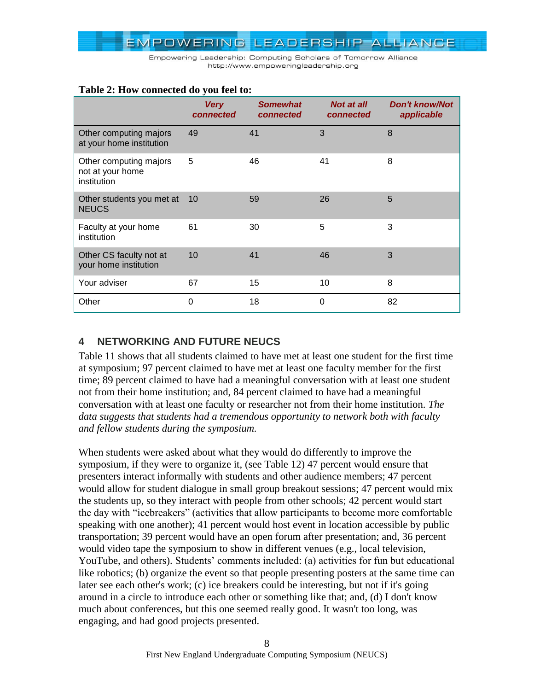

|                                                           | <b>Very</b><br>connected | <b>Somewhat</b><br>connected | <b>Not at all</b><br>connected | <b>Don't know/Not</b><br>applicable |
|-----------------------------------------------------------|--------------------------|------------------------------|--------------------------------|-------------------------------------|
| Other computing majors<br>at your home institution        | 49                       | 41                           | 3                              | 8                                   |
| Other computing majors<br>not at your home<br>institution | 5                        | 46                           | 41                             | 8                                   |
| Other students you met at<br><b>NEUCS</b>                 | 10                       | 59                           | 26                             | 5                                   |
| Faculty at your home<br>institution                       | 61                       | 30                           | 5                              | 3                                   |
| Other CS faculty not at<br>your home institution          | 10                       | 41                           | 46                             | 3                                   |
| Your adviser                                              | 67                       | 15                           | 10                             | 8                                   |
| Other                                                     | 0                        | 18                           | $\Omega$                       | 82                                  |

### <span id="page-7-1"></span>**Table 2: How connected do you feel to:**

### <span id="page-7-0"></span>**4 NETWORKING AND FUTURE NEUCS**

[Table 11](#page-16-0) shows that all students claimed to have met at least one student for the first time at symposium; 97 percent claimed to have met at least one faculty member for the first time; 89 percent claimed to have had a meaningful conversation with at least one student not from their home institution; and, 84 percent claimed to have had a meaningful conversation with at least one faculty or researcher not from their home institution. *The data suggests that students had a tremendous opportunity to network both with faculty and fellow students during the symposium.*

When students were asked about what they would do differently to improve the symposium, if they were to organize it, (see [Table 12\)](#page-16-1) 47 percent would ensure that presenters interact informally with students and other audience members; 47 percent would allow for student dialogue in small group breakout sessions; 47 percent would mix the students up, so they interact with people from other schools; 42 percent would start the day with "icebreakers" (activities that allow participants to become more comfortable speaking with one another); 41 percent would host event in location accessible by public transportation; 39 percent would have an open forum after presentation; and, 36 percent would video tape the symposium to show in different venues (e.g., local television, YouTube, and others). Students' comments included: (a) activities for fun but educational like robotics; (b) organize the event so that people presenting posters at the same time can later see each other's work; (c) ice breakers could be interesting, but not if it's going around in a circle to introduce each other or something like that; and, (d) I don't know much about conferences, but this one seemed really good. It wasn't too long, was engaging, and had good projects presented.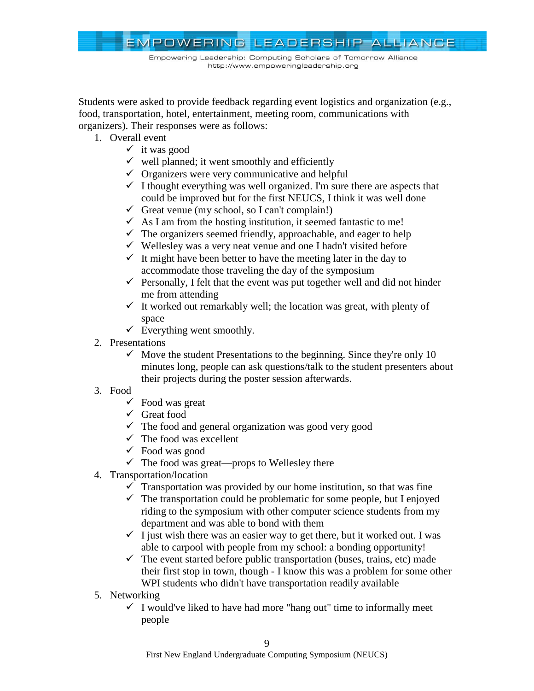

Students were asked to provide feedback regarding event logistics and organization (e.g., food, transportation, hotel, entertainment, meeting room, communications with organizers). Their responses were as follows:

- 1. Overall event
	- $\checkmark$  it was good
	- $\checkmark$  well planned; it went smoothly and efficiently
	- $\checkmark$  Organizers were very communicative and helpful
	- $\checkmark$  I thought everything was well organized. I'm sure there are aspects that could be improved but for the first NEUCS, I think it was well done
	- Great venue (my school, so I can't complain!)
	- $\checkmark$  As I am from the hosting institution, it seemed fantastic to me!
	- $\checkmark$  The organizers seemed friendly, approachable, and eager to help
	- $\checkmark$  Wellesley was a very neat venue and one I hadn't visited before
	- $\checkmark$  It might have been better to have the meeting later in the day to accommodate those traveling the day of the symposium
	- $\checkmark$  Personally, I felt that the event was put together well and did not hinder me from attending
	- $\checkmark$  It worked out remarkably well; the location was great, with plenty of space
	- $\checkmark$  Everything went smoothly.
- 2. Presentations
	- $\checkmark$  Move the student Presentations to the beginning. Since they're only 10 minutes long, people can ask questions/talk to the student presenters about their projects during the poster session afterwards.
- 3. Food
	- $\checkmark$  Food was great
	- $\checkmark$  Great food
	- $\checkmark$  The food and general organization was good very good
	- $\checkmark$  The food was excellent
	- $\checkmark$  Food was good
	- $\checkmark$  The food was great—props to Wellesley there
- 4. Transportation/location
	- $\checkmark$  Transportation was provided by our home institution, so that was fine
	- $\checkmark$  The transportation could be problematic for some people, but I enjoyed riding to the symposium with other computer science students from my department and was able to bond with them
	- $\checkmark$  I just wish there was an easier way to get there, but it worked out. I was able to carpool with people from my school: a bonding opportunity!
	- $\checkmark$  The event started before public transportation (buses, trains, etc) made their first stop in town, though - I know this was a problem for some other WPI students who didn't have transportation readily available
- 5. Networking
	- $\checkmark$  I would've liked to have had more "hang out" time to informally meet people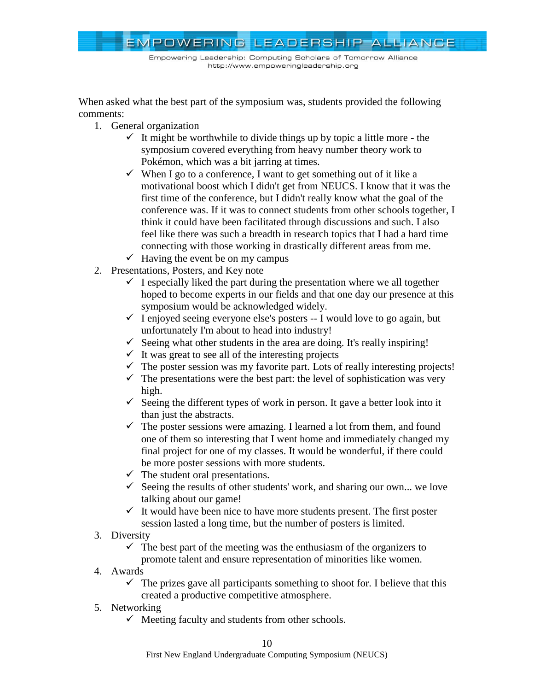

When asked what the best part of the symposium was, students provided the following comments:

- 1. General organization
	- $\checkmark$  It might be worthwhile to divide things up by topic a little more the symposium covered everything from heavy number theory work to Pokémon, which was a bit jarring at times.
	- $\checkmark$  When I go to a conference, I want to get something out of it like a motivational boost which I didn't get from NEUCS. I know that it was the first time of the conference, but I didn't really know what the goal of the conference was. If it was to connect students from other schools together, I think it could have been facilitated through discussions and such. I also feel like there was such a breadth in research topics that I had a hard time connecting with those working in drastically different areas from me.
	- $\checkmark$  Having the event be on my campus
- 2. Presentations, Posters, and Key note
	- $\checkmark$  I especially liked the part during the presentation where we all together hoped to become experts in our fields and that one day our presence at this symposium would be acknowledged widely.
	- $\checkmark$  I enjoyed seeing everyone else's posters -- I would love to go again, but unfortunately I'm about to head into industry!
	- $\checkmark$  Seeing what other students in the area are doing. It's really inspiring!
	- $\checkmark$  It was great to see all of the interesting projects
	- $\checkmark$  The poster session was my favorite part. Lots of really interesting projects!
	- $\checkmark$  The presentations were the best part: the level of sophistication was very high.
	- $\checkmark$  Seeing the different types of work in person. It gave a better look into it than just the abstracts.
	- $\checkmark$  The poster sessions were amazing. I learned a lot from them, and found one of them so interesting that I went home and immediately changed my final project for one of my classes. It would be wonderful, if there could be more poster sessions with more students.
	- $\checkmark$  The student oral presentations.
	- $\checkmark$  Seeing the results of other students' work, and sharing our own... we love talking about our game!
	- $\checkmark$  It would have been nice to have more students present. The first poster session lasted a long time, but the number of posters is limited.
- 3. Diversity
	- $\checkmark$  The best part of the meeting was the enthusiasm of the organizers to promote talent and ensure representation of minorities like women.
- 4. Awards
	- $\checkmark$  The prizes gave all participants something to shoot for. I believe that this created a productive competitive atmosphere.
- 5. Networking
	- $\checkmark$  Meeting faculty and students from other schools.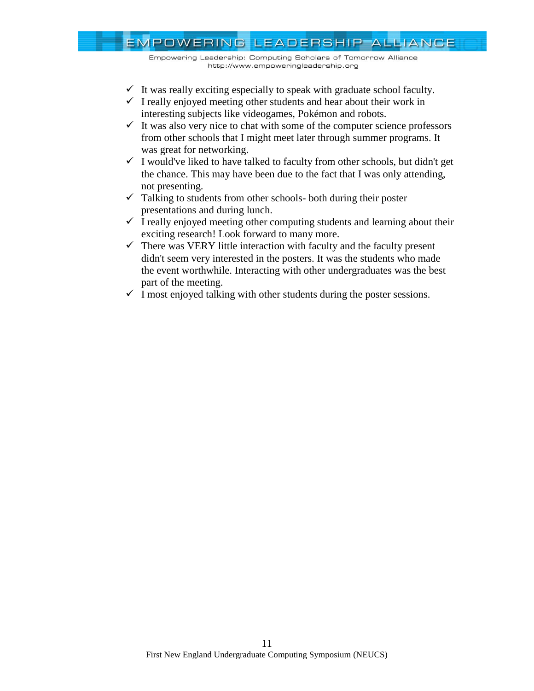Empowering Leadership: Computing Scholars of Tomorrow Alliance http://www.empoweringleadership.org

- $\checkmark$  It was really exciting especially to speak with graduate school faculty.
- $\checkmark$  I really enjoyed meeting other students and hear about their work in interesting subjects like videogames, Pokémon and robots.
- $\checkmark$  It was also very nice to chat with some of the computer science professors from other schools that I might meet later through summer programs. It was great for networking.
- $\checkmark$  I would've liked to have talked to faculty from other schools, but didn't get the chance. This may have been due to the fact that I was only attending, not presenting.
- $\checkmark$  Talking to students from other schools- both during their poster presentations and during lunch.
- $\checkmark$  I really enjoyed meeting other computing students and learning about their exciting research! Look forward to many more.
- $\checkmark$  There was VERY little interaction with faculty and the faculty present didn't seem very interested in the posters. It was the students who made the event worthwhile. Interacting with other undergraduates was the best part of the meeting.
- $\checkmark$  I most enjoyed talking with other students during the poster sessions.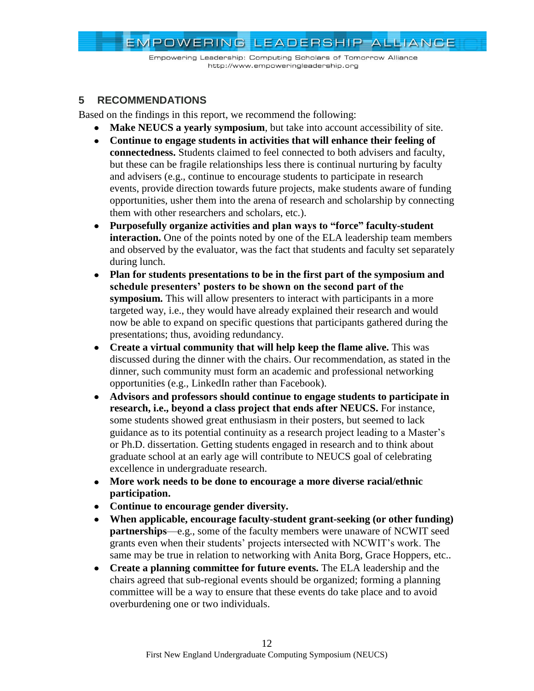Empowering Leadership: Computing Scholars of Tomorrow Alliance http://www.empoweringleadership.org

### <span id="page-11-0"></span>**5 RECOMMENDATIONS**

Based on the findings in this report, we recommend the following:

- **Make NEUCS a yearly symposium**, but take into account accessibility of site.
- **Continue to engage students in activities that will enhance their feeling of connectedness.** Students claimed to feel connected to both advisers and faculty, but these can be fragile relationships less there is continual nurturing by faculty and advisers (e.g., continue to encourage students to participate in research events, provide direction towards future projects, make students aware of funding opportunities, usher them into the arena of research and scholarship by connecting them with other researchers and scholars, etc.).
- **Purposefully organize activities and plan ways to "force" faculty-student interaction.** One of the points noted by one of the ELA leadership team members and observed by the evaluator, was the fact that students and faculty set separately during lunch.
- **Plan for students presentations to be in the first part of the symposium and**   $\bullet$ **schedule presenters' posters to be shown on the second part of the symposium.** This will allow presenters to interact with participants in a more targeted way, i.e., they would have already explained their research and would now be able to expand on specific questions that participants gathered during the presentations; thus, avoiding redundancy.
- **Create a virtual community that will help keep the flame alive.** This was discussed during the dinner with the chairs. Our recommendation, as stated in the dinner, such community must form an academic and professional networking opportunities (e.g., LinkedIn rather than Facebook).
- **Advisors and professors should continue to engage students to participate in**   $\bullet$ **research, i.e., beyond a class project that ends after NEUCS.** For instance, some students showed great enthusiasm in their posters, but seemed to lack guidance as to its potential continuity as a research project leading to a Master's or Ph.D. dissertation. Getting students engaged in research and to think about graduate school at an early age will contribute to NEUCS goal of celebrating excellence in undergraduate research.
- **More work needs to be done to encourage a more diverse racial/ethnic participation.**
- **Continue to encourage gender diversity.**
- **When applicable, encourage faculty-student grant-seeking (or other funding) partnerships—e.g., some of the faculty members were unaware of NCWIT seed** grants even when their students' projects intersected with NCWIT's work. The same may be true in relation to networking with Anita Borg, Grace Hoppers, etc..
- **Create a planning committee for future events.** The ELA leadership and the chairs agreed that sub-regional events should be organized; forming a planning committee will be a way to ensure that these events do take place and to avoid overburdening one or two individuals.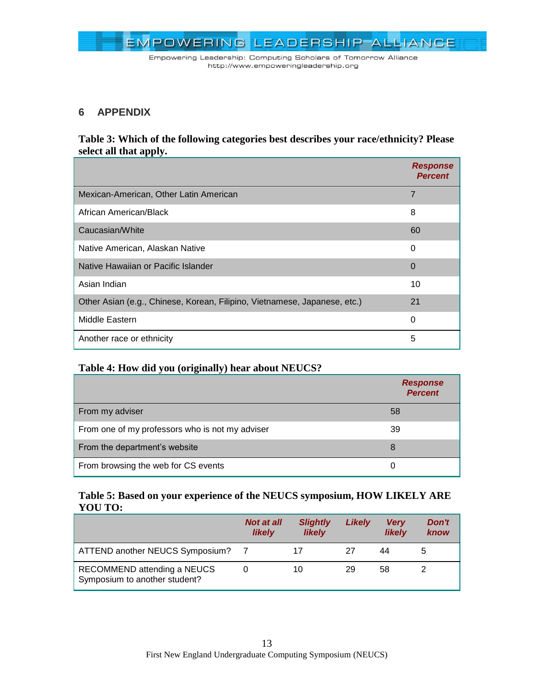

### <span id="page-12-0"></span>**6 APPENDIX**

### <span id="page-12-2"></span>**Table 3: Which of the following categories best describes your race/ethnicity? Please select all that apply.**

|                                                                           | <b>Response</b><br><b>Percent</b> |
|---------------------------------------------------------------------------|-----------------------------------|
| Mexican-American, Other Latin American                                    | $\overline{7}$                    |
| African American/Black                                                    | 8                                 |
| Caucasian/White                                                           | 60                                |
| Native American, Alaskan Native                                           | $\Omega$                          |
| Native Hawaiian or Pacific Islander                                       | $\Omega$                          |
| Asian Indian                                                              | 10                                |
| Other Asian (e.g., Chinese, Korean, Filipino, Vietnamese, Japanese, etc.) | 21                                |
| Middle Eastern                                                            | $\Omega$                          |
| Another race or ethnicity                                                 | 5                                 |

### <span id="page-12-3"></span>**Table 4: How did you (originally) hear about NEUCS?**

|                                                 | <b>Response</b><br><b>Percent</b> |
|-------------------------------------------------|-----------------------------------|
| From my adviser                                 | 58                                |
| From one of my professors who is not my adviser | 39                                |
| From the department's website                   | 8                                 |
| From browsing the web for CS events             | $\Omega$                          |

### <span id="page-12-1"></span>**Table 5: Based on your experience of the NEUCS symposium, HOW LIKELY ARE YOU TO:**

|                                                              | <b>Not at all</b><br><b>likely</b> | <b>Slightly</b><br><b>likely</b> | Likely | <b>Very</b><br><b>likely</b> | Don't<br>know |
|--------------------------------------------------------------|------------------------------------|----------------------------------|--------|------------------------------|---------------|
| ATTEND another NEUCS Symposium? 7                            |                                    |                                  | 27     | 44                           |               |
| RECOMMEND attending a NEUCS<br>Symposium to another student? |                                    | 10                               | 29     | 58                           |               |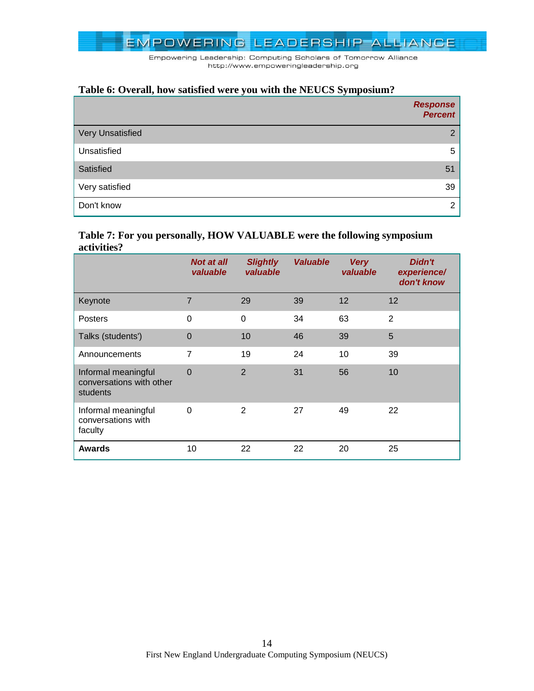

### <span id="page-13-0"></span>**Table 6: Overall, how satisfied were you with the NEUCS Symposium?**

|                         | <b>Response</b><br><b>Percent</b> |
|-------------------------|-----------------------------------|
| <b>Very Unsatisfied</b> | $\overline{2}$                    |
| Unsatisfied             | 5                                 |
| Satisfied               | 51                                |
| Very satisfied          | 39                                |
| Don't know              | ົ                                 |

#### <span id="page-13-1"></span>**Table 7: For you personally, HOW VALUABLE were the following symposium activities?**

|                                                             | <b>Not at all</b><br>valuable | <b>Slightly</b><br>valuable | <b>Valuable</b> | <b>Very</b><br>valuable | Didn't<br>experience/<br>don't know |
|-------------------------------------------------------------|-------------------------------|-----------------------------|-----------------|-------------------------|-------------------------------------|
| Keynote                                                     | $\overline{7}$                | 29                          | 39              | 12                      | 12                                  |
| <b>Posters</b>                                              | 0                             | 0                           | 34              | 63                      | $\overline{2}$                      |
| Talks (students')                                           | $\mathbf 0$                   | 10                          | 46              | 39                      | 5                                   |
| Announcements                                               | $\overline{7}$                | 19                          | 24              | 10                      | 39                                  |
| Informal meaningful<br>conversations with other<br>students | $\mathbf 0$                   | $\overline{2}$              | 31              | 56                      | 10                                  |
| Informal meaningful<br>conversations with<br>faculty        | $\Omega$                      | $\mathbf{2}$                | 27              | 49                      | 22                                  |
| <b>Awards</b>                                               | 10                            | 22                          | 22              | 20                      | 25                                  |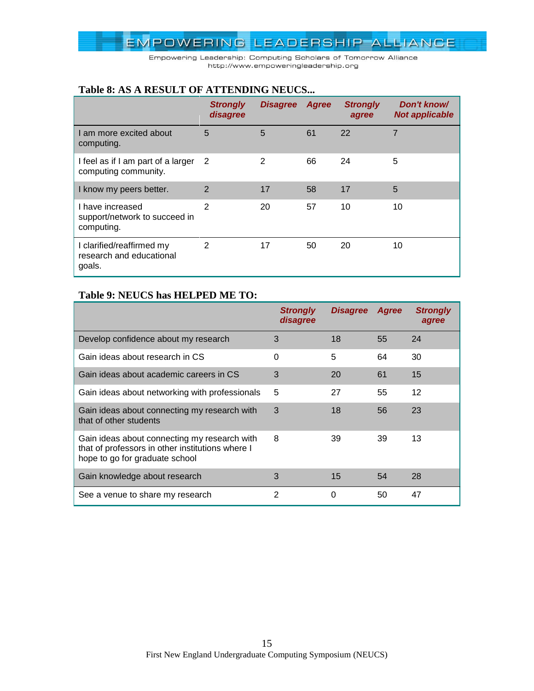Empowering Leadership: Computing Scholars of Tomorrow Alliance http://www.empoweringleadership.org

#### <span id="page-14-0"></span>**Table 8: AS A RESULT OF ATTENDING NEUCS...**

|                                                                 | <b>Strongly</b><br>disagree | <b>Disagree</b> | Agree | <b>Strongly</b><br>agree | Don't know/<br><b>Not applicable</b> |
|-----------------------------------------------------------------|-----------------------------|-----------------|-------|--------------------------|--------------------------------------|
| am more excited about<br>computing.                             | 5                           | 5               | 61    | 22                       | 7                                    |
| I feel as if I am part of a larger<br>computing community.      | -2                          | 2               | 66    | 24                       | 5                                    |
| I know my peers better.                                         | 2                           | 17              | 58    | 17                       | 5                                    |
| I have increased<br>support/network to succeed in<br>computing. | $\mathcal{P}$               | 20              | 57    | 10                       | 10                                   |
| I clarified/reaffirmed my<br>research and educational<br>goals. | $\mathcal{P}$               | 17              | 50    | 20                       | 10                                   |

### <span id="page-14-1"></span>**Table 9: NEUCS has HELPED ME TO:**

|                                                                                                                                    | <b>Strongly</b><br>disagree | <b>Disagree</b> | Agree | <b>Strongly</b><br>agree |
|------------------------------------------------------------------------------------------------------------------------------------|-----------------------------|-----------------|-------|--------------------------|
| Develop confidence about my research                                                                                               | 3                           | 18              | 55    | 24                       |
| Gain ideas about research in CS                                                                                                    | 0                           | 5               | 64    | 30                       |
| Gain ideas about academic careers in CS                                                                                            | 3                           | 20              | 61    | 15                       |
| Gain ideas about networking with professionals                                                                                     | 5                           | 27              | 55    | 12                       |
| Gain ideas about connecting my research with<br>that of other students                                                             | 3                           | 18              | 56    | 23                       |
| Gain ideas about connecting my research with<br>that of professors in other institutions where I<br>hope to go for graduate school | 8                           | 39              | 39    | 13                       |
| Gain knowledge about research                                                                                                      | 3                           | 15              | 54    | 28                       |
| See a venue to share my research                                                                                                   | 2                           | 0               | 50    | 47                       |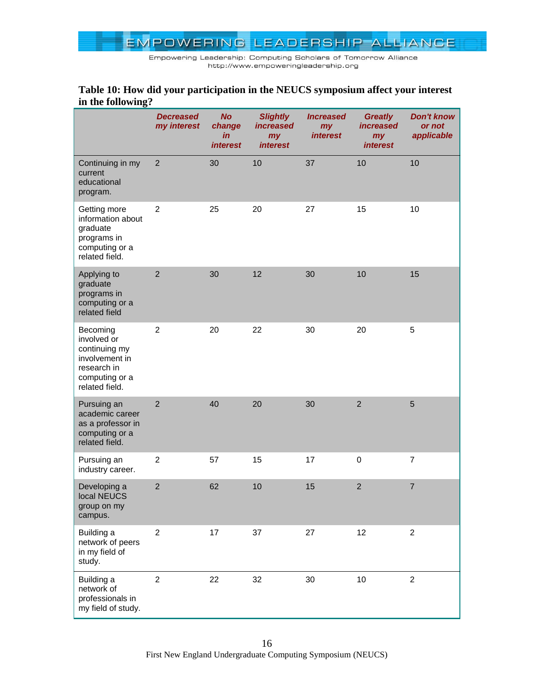Empowering Leadership: Computing Scholars of Tomorrow Alliance http://www.empoweringleadership.org

### <span id="page-15-0"></span>**Table 10: How did your participation in the NEUCS symposium affect your interest in the following?**

|                                                                                                               | <b>Decreased</b><br>my interest | <b>No</b><br>change<br>in<br><i><b>interest</b></i> | <b>Slightly</b><br><i>increased</i><br>my<br><i>interest</i> | <b>Increased</b><br>my<br><i>interest</i> | <b>Greatly</b><br><i>increased</i><br>my<br><i>interest</i> | <b>Don't know</b><br>or not<br>applicable |
|---------------------------------------------------------------------------------------------------------------|---------------------------------|-----------------------------------------------------|--------------------------------------------------------------|-------------------------------------------|-------------------------------------------------------------|-------------------------------------------|
| Continuing in my<br>current<br>educational<br>program.                                                        | $\overline{2}$                  | 30                                                  | 10                                                           | 37                                        | 10                                                          | 10                                        |
| Getting more<br>information about<br>graduate<br>programs in<br>computing or a<br>related field.              | $\overline{2}$                  | 25                                                  | 20                                                           | 27                                        | 15                                                          | 10                                        |
| Applying to<br>graduate<br>programs in<br>computing or a<br>related field                                     | $\overline{2}$                  | 30                                                  | 12                                                           | 30                                        | 10                                                          | 15                                        |
| Becoming<br>involved or<br>continuing my<br>involvement in<br>research in<br>computing or a<br>related field. | $\overline{c}$                  | 20                                                  | 22                                                           | 30                                        | 20                                                          | 5                                         |
| Pursuing an<br>academic career<br>as a professor in<br>computing or a<br>related field.                       | $\overline{2}$                  | 40                                                  | 20                                                           | 30                                        | $\overline{2}$                                              | 5                                         |
| Pursuing an<br>industry career.                                                                               | $\overline{c}$                  | 57                                                  | 15                                                           | 17                                        | $\pmb{0}$                                                   | $\overline{7}$                            |
| Developing a<br>local NEUCS<br>group on my<br>campus.                                                         | $\overline{2}$                  | 62                                                  | 10                                                           | 15                                        | $\overline{2}$                                              | $\overline{7}$                            |
| Building a<br>network of peers<br>in my field of<br>study.                                                    | $\overline{c}$                  | 17                                                  | 37                                                           | 27                                        | 12                                                          | $\overline{2}$                            |
| Building a<br>network of<br>professionals in<br>my field of study.                                            | $\overline{2}$                  | 22                                                  | 32                                                           | 30                                        | 10                                                          | $\overline{2}$                            |